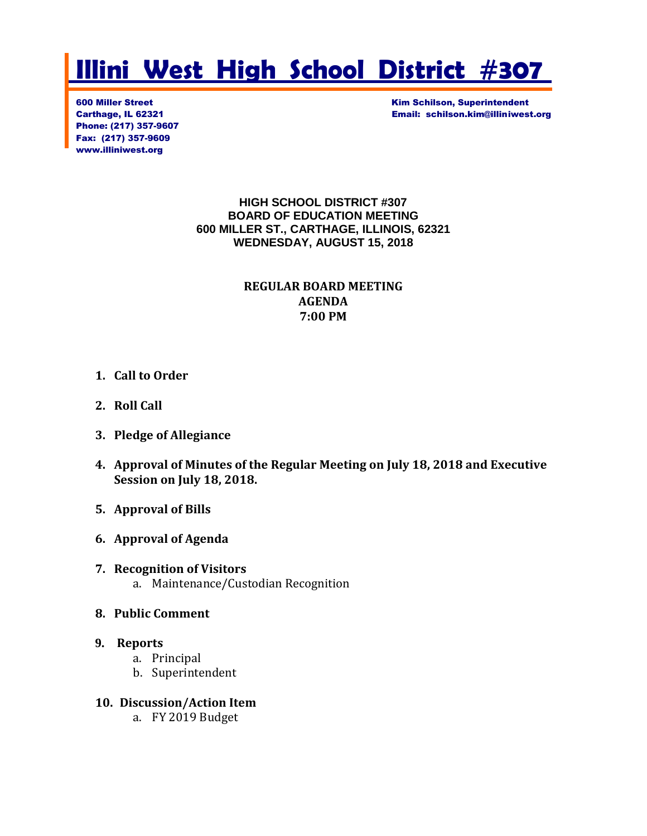# **Illini West High School District #307**

Phone: (217) 357-9607 Fax: (217) 357-9609 www.illiniwest.org

600 Miller Street Kim Schilson, Superintendent Carthage, IL 62321 Email: schilson.kim@illiniwest.org

#### **HIGH SCHOOL DISTRICT #307 BOARD OF EDUCATION MEETING 600 MILLER ST., CARTHAGE, ILLINOIS, 62321 WEDNESDAY, AUGUST 15, 2018**

# **REGULAR BOARD MEETING AGENDA 7:00 PM**

# **1. Call to Order**

- **2. Roll Call**
- **3. Pledge of Allegiance**
- **4. Approval of Minutes of the Regular Meeting on July 18, 2018 and Executive Session on July 18, 2018.**
- **5. Approval of Bills**
- **6. Approval of Agenda**
- **7. Recognition of Visitors** a. Maintenance/Custodian Recognition
- **8. Public Comment**

#### **9. Reports**

- a. Principal
- b. Superintendent
- **10. Discussion/Action Item**
	- a. FY 2019 Budget